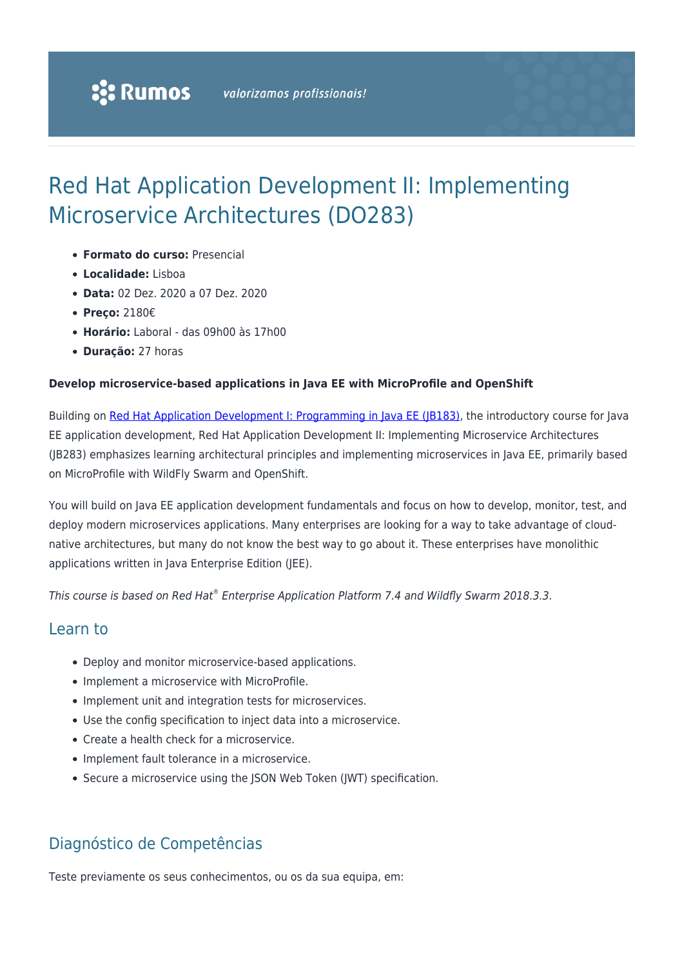# Red Hat Application Development II: Implementing Microservice Architectures (DO283)

- **Formato do curso:** Presencial
- **Localidade:** Lisboa
- **Data:** 02 Dez. 2020 a 07 Dez. 2020
- **Preço:** 2180€
- **Horário:** Laboral das 09h00 às 17h00
- **Duração:** 27 horas

#### **Develop microservice-based applications in Java EE with MicroProfile and OpenShift**

Building on [Red Hat Application Development I: Programming in Java EE \(JB183\)](https://rumos.pt/curso/red-hat-application-development-i-programming-in-java-ee-jb183-presencial/), the introductory course for Java EE application development, Red Hat Application Development II: Implementing Microservice Architectures (JB283) emphasizes learning architectural principles and implementing microservices in Java EE, primarily based on MicroProfile with WildFly Swarm and OpenShift.

You will build on Java EE application development fundamentals and focus on how to develop, monitor, test, and deploy modern microservices applications. Many enterprises are looking for a way to take advantage of cloudnative architectures, but many do not know the best way to go about it. These enterprises have monolithic applications written in Java Enterprise Edition (JEE).

This course is based on Red Hat® Enterprise Application Platform 7.4 and Wildfly Swarm 2018.3.3.

### Learn to

- Deploy and monitor microservice-based applications.
- Implement a microservice with MicroProfile.
- Implement unit and integration tests for microservices.
- Use the config specification to inject data into a microservice.
- Create a health check for a microservice.
- Implement fault tolerance in a microservice.
- Secure a microservice using the JSON Web Token (JWT) specification.

## Diagnóstico de Competências

Teste previamente os seus conhecimentos, ou os da sua equipa, em: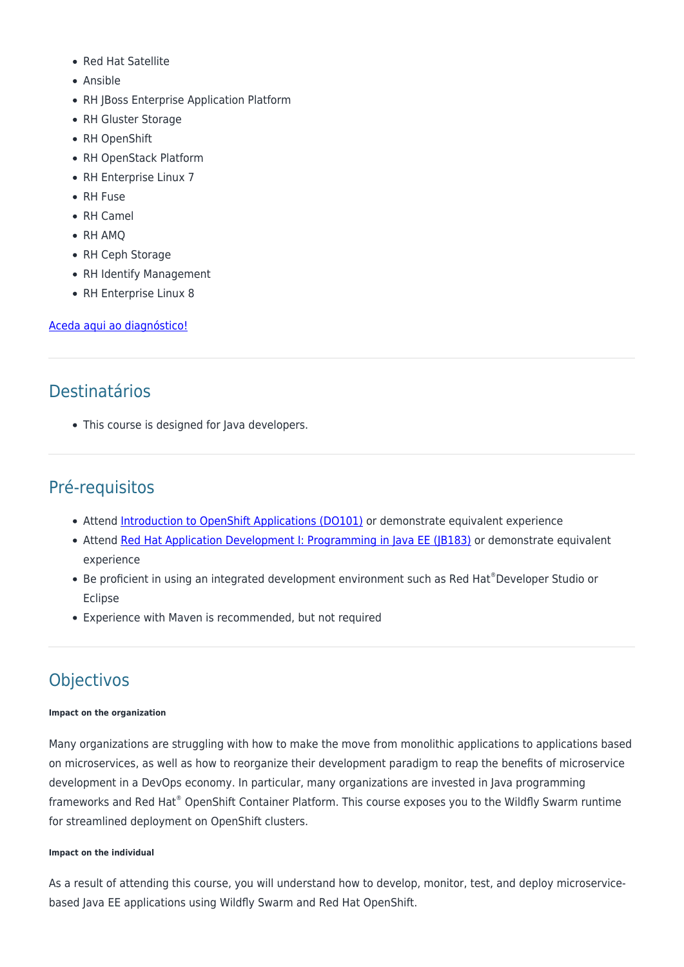- Red Hat Satellite
- Ansible
- RH JBoss Enterprise Application Platform
- RH Gluster Storage
- RH OpenShift
- RH OpenStack Platform
- RH Enterprise Linux 7
- RH Fuse
- RH Camel
- RH AMO
- RH Ceph Storage
- RH Identify Management
- RH Enterprise Linux 8

#### [Aceda aqui ao diagnóstico!](https://www.redhat.com/rhtapps/assessment/?partner=rumos)

# Destinatários

• This course is designed for Java developers.

# Pré-requisitos

- Attend [Introduction to OpenShift Applications \(DO101\)](https://rumos.pt/curso/introduction-to-openshift-applications-do101-presencial-com-live-training/) or demonstrate equivalent experience
- Attend [Red Hat Application Development I: Programming in Java EE \(JB183\)](https://www.redhat.com/en/services/training/jb183-red-hat-application-development-i-programming-java-ee) or demonstrate equivalent experience
- Be proficient in using an integrated development environment such as Red Hat®Developer Studio or Eclipse
- Experience with Maven is recommended, but not required

# **Objectivos**

#### **Impact on the organization**

Many organizations are struggling with how to make the move from monolithic applications to applications based on microservices, as well as how to reorganize their development paradigm to reap the benefits of microservice development in a DevOps economy. In particular, many organizations are invested in Java programming frameworks and Red Hat® OpenShift Container Platform. This course exposes you to the Wildfly Swarm runtime for streamlined deployment on OpenShift clusters.

#### **Impact on the individual**

As a result of attending this course, you will understand how to develop, monitor, test, and deploy microservicebased Java EE applications using Wildfly Swarm and Red Hat OpenShift.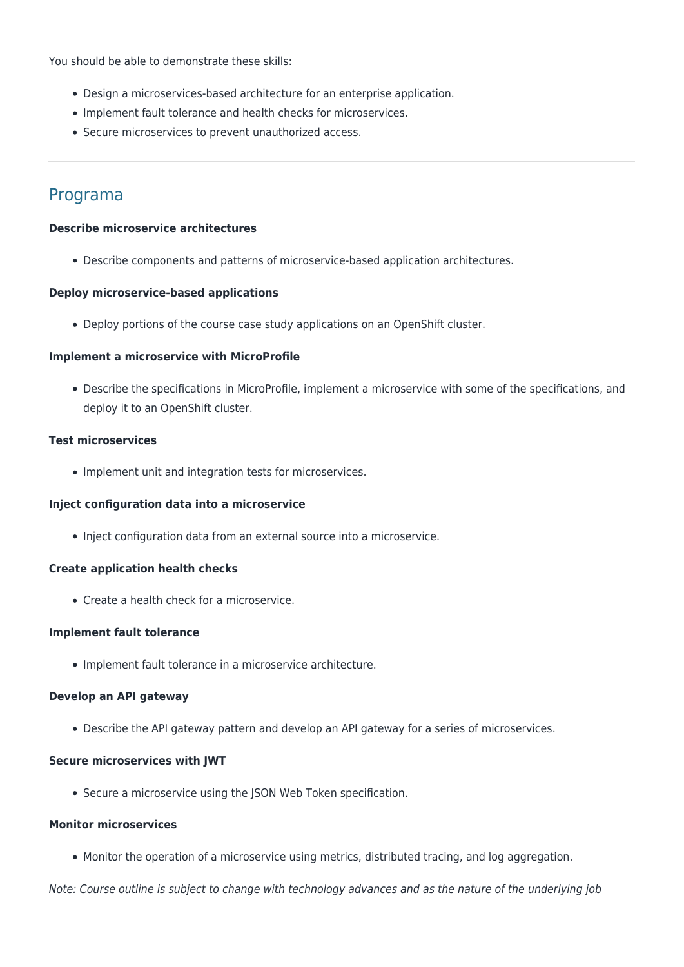You should be able to demonstrate these skills:

- Design a microservices-based architecture for an enterprise application.
- Implement fault tolerance and health checks for microservices.
- Secure microservices to prevent unauthorized access.

### Programa

#### **Describe microservice architectures**

Describe components and patterns of microservice-based application architectures.

#### **Deploy microservice-based applications**

Deploy portions of the course case study applications on an OpenShift cluster.

#### **Implement a microservice with MicroProfile**

Describe the specifications in MicroProfile, implement a microservice with some of the specifications, and deploy it to an OpenShift cluster.

#### **Test microservices**

• Implement unit and integration tests for microservices.

#### **Inject configuration data into a microservice**

Inject configuration data from an external source into a microservice.

#### **Create application health checks**

Create a health check for a microservice.

#### **Implement fault tolerance**

• Implement fault tolerance in a microservice architecture.

#### **Develop an API gateway**

Describe the API gateway pattern and develop an API gateway for a series of microservices.

#### **Secure microservices with JWT**

• Secure a microservice using the JSON Web Token specification.

#### **Monitor microservices**

Monitor the operation of a microservice using metrics, distributed tracing, and log aggregation.

Note: Course outline is subject to change with technology advances and as the nature of the underlying job